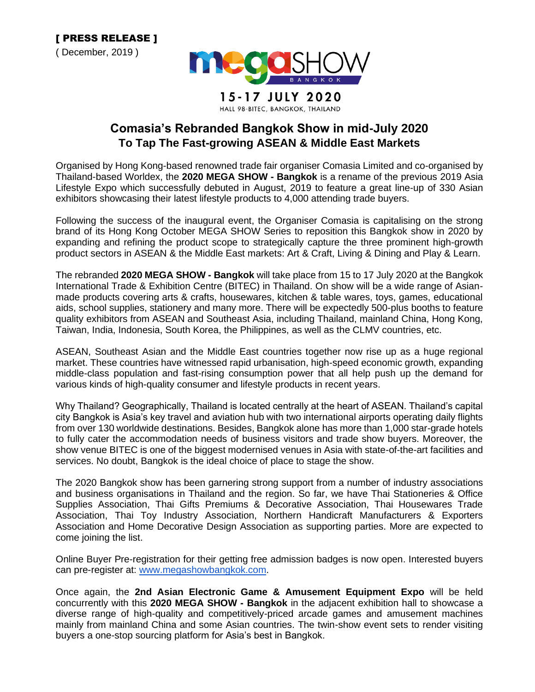

## **Comasia's Rebranded Bangkok Show in mid-July 2020 To Tap The Fast-growing ASEAN & Middle East Markets**

Organised by Hong Kong-based renowned trade fair organiser Comasia Limited and co-organised by Thailand-based Worldex, the **2020 MEGA SHOW - Bangkok** is a rename of the previous 2019 Asia Lifestyle Expo which successfully debuted in August, 2019 to feature a great line-up of 330 Asian exhibitors showcasing their latest lifestyle products to 4,000 attending trade buyers.

Following the success of the inaugural event, the Organiser Comasia is capitalising on the strong brand of its Hong Kong October MEGA SHOW Series to reposition this Bangkok show in 2020 by expanding and refining the product scope to strategically capture the three prominent high-growth product sectors in ASEAN & the Middle East markets: Art & Craft, Living & Dining and Play & Learn.

The rebranded **2020 MEGA SHOW - Bangkok** will take place from 15 to 17 July 2020 at the Bangkok International Trade & Exhibition Centre (BITEC) in Thailand. On show will be a wide range of Asianmade products covering arts & crafts, housewares, kitchen & table wares, toys, games, educational aids, school supplies, stationery and many more. There will be expectedly 500-plus booths to feature quality exhibitors from ASEAN and Southeast Asia, including Thailand, mainland China, Hong Kong, Taiwan, India, Indonesia, South Korea, the Philippines, as well as the CLMV countries, etc.

ASEAN, Southeast Asian and the Middle East countries together now rise up as a huge regional market. These countries have witnessed rapid urbanisation, high-speed economic growth, expanding middle-class population and fast-rising consumption power that all help push up the demand for various kinds of high-quality consumer and lifestyle products in recent years.

Why Thailand? Geographically, Thailand is located centrally at the heart of ASEAN. Thailand's capital city Bangkok is Asia's key travel and aviation hub with two international airports operating daily flights from over 130 worldwide destinations. Besides, Bangkok alone has more than 1,000 star-grade hotels to fully cater the accommodation needs of business visitors and trade show buyers. Moreover, the show venue BITEC is one of the biggest modernised venues in Asia with state-of-the-art facilities and services. No doubt, Bangkok is the ideal choice of place to stage the show.

The 2020 Bangkok show has been garnering strong support from a number of industry associations and business organisations in Thailand and the region. So far, we have Thai Stationeries & Office Supplies Association, Thai Gifts Premiums & Decorative Association, Thai Housewares Trade Association, Thai Toy Industry Association, Northern Handicraft Manufacturers & Exporters Association and Home Decorative Design Association as supporting parties. More are expected to come joining the list.

Online Buyer Pre-registration for their getting free admission badges is now open. Interested buyers can pre-register at: [www.megashowbangkok.com.](http://www.megashowbangkok.com/)

Once again, the **2nd Asian Electronic Game & Amusement Equipment Expo** will be held concurrently with this **2020 MEGA SHOW - Bangkok** in the adjacent exhibition hall to showcase a diverse range of high-quality and competitively-priced arcade games and amusement machines mainly from mainland China and some Asian countries. The twin-show event sets to render visiting buyers a one-stop sourcing platform for Asia's best in Bangkok.